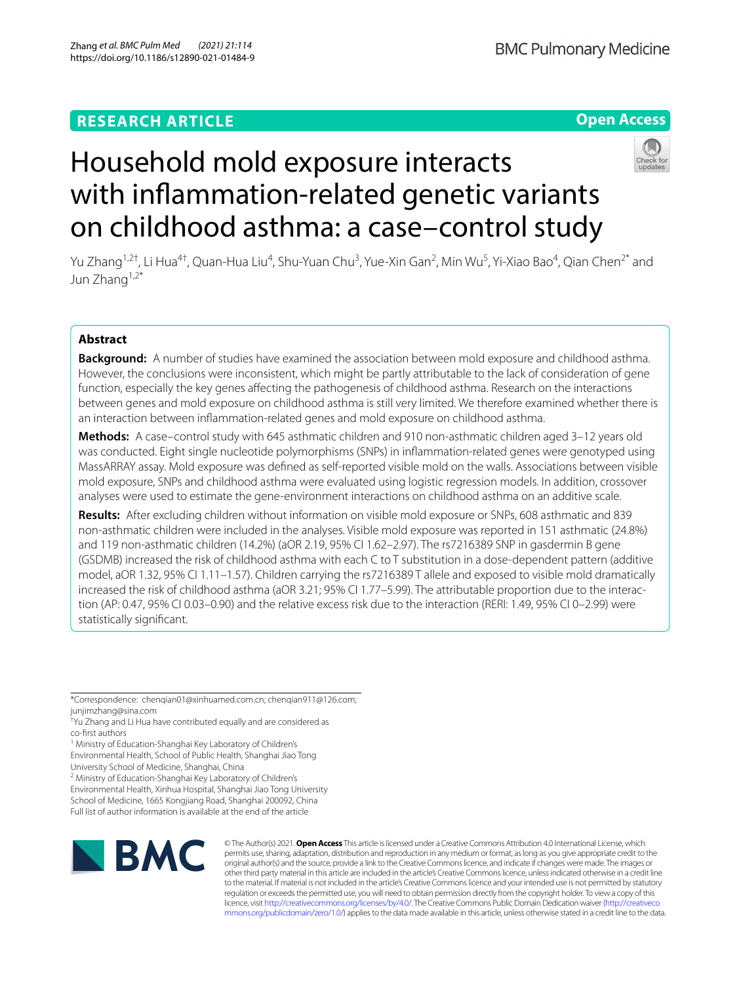# **RESEARCH ARTICLE**

# **Open Access**



# Household mold exposure interacts with infammation-related genetic variants on childhood asthma: a case–control study

Yu Zhang<sup>1,2†</sup>, Li Hua<sup>4†</sup>, Quan-Hua Liu<sup>4</sup>, Shu-Yuan Chu<sup>3</sup>, Yue-Xin Gan<sup>2</sup>, Min Wu<sup>5</sup>, Yi-Xiao Bao<sup>4</sup>, Qian Chen<sup>2\*</sup> and Jun Zhang1,2\*

## **Abstract**

**Background:** A number of studies have examined the association between mold exposure and childhood asthma. However, the conclusions were inconsistent, which might be partly attributable to the lack of consideration of gene function, especially the key genes afecting the pathogenesis of childhood asthma. Research on the interactions between genes and mold exposure on childhood asthma is still very limited. We therefore examined whether there is an interaction between infammation-related genes and mold exposure on childhood asthma.

**Methods:** A case–control study with 645 asthmatic children and 910 non-asthmatic children aged 3–12 years old was conducted. Eight single nucleotide polymorphisms (SNPs) in infammation-related genes were genotyped using MassARRAY assay. Mold exposure was defned as self-reported visible mold on the walls. Associations between visible mold exposure, SNPs and childhood asthma were evaluated using logistic regression models. In addition, crossover analyses were used to estimate the gene-environment interactions on childhood asthma on an additive scale.

**Results:** After excluding children without information on visible mold exposure or SNPs, 608 asthmatic and 839 non-asthmatic children were included in the analyses. Visible mold exposure was reported in 151 asthmatic (24.8%) and 119 non-asthmatic children (14.2%) (aOR 2.19, 95% CI 1.62–2.97). The rs7216389 SNP in gasdermin B gene (GSDMB) increased the risk of childhood asthma with each C to T substitution in a dose-dependent pattern (additive model, aOR 1.32, 95% CI 1.11–1.57). Children carrying the rs7216389 T allele and exposed to visible mold dramatically increased the risk of childhood asthma (aOR 3.21; 95% CI 1.77-5.99). The attributable proportion due to the interaction (AP: 0.47, 95% CI 0.03–0.90) and the relative excess risk due to the interaction (RERI: 1.49, 95% CI 0–2.99) were statistically signifcant.

Environmental Health, Xinhua Hospital, Shanghai Jiao Tong University

School of Medicine, 1665 Kongjiang Road, Shanghai 200092, China

Full list of author information is available at the end of the article



© The Author(s) 2021. **Open Access** This article is licensed under a Creative Commons Attribution 4.0 International License, which permits use, sharing, adaptation, distribution and reproduction in any medium or format, as long as you give appropriate credit to the original author(s) and the source, provide a link to the Creative Commons licence, and indicate if changes were made. The images or other third party material in this article are included in the article's Creative Commons licence, unless indicated otherwise in a credit line to the material. If material is not included in the article's Creative Commons licence and your intended use is not permitted by statutory regulation or exceeds the permitted use, you will need to obtain permission directly from the copyright holder. To view a copy of this licence, visit [http://creativecommons.org/licenses/by/4.0/.](http://creativecommons.org/licenses/by/4.0/) The Creative Commons Public Domain Dedication waiver ([http://creativeco](http://creativecommons.org/publicdomain/zero/1.0/) [mmons.org/publicdomain/zero/1.0/](http://creativecommons.org/publicdomain/zero/1.0/)) applies to the data made available in this article, unless otherwise stated in a credit line to the data.

<sup>\*</sup>Correspondence: chenqian01@xinhuamed.com.cn; chenqian911@126.com; junjimzhang@sina.com

<sup>†</sup> Yu Zhang and Li Hua have contributed equally and are considered as co-frst authors

<sup>&</sup>lt;sup>1</sup> Ministry of Education-Shanghai Key Laboratory of Children's

Environmental Health, School of Public Health, Shanghai Jiao Tong University School of Medicine, Shanghai, China

<sup>&</sup>lt;sup>2</sup> Ministry of Education-Shanghai Key Laboratory of Children's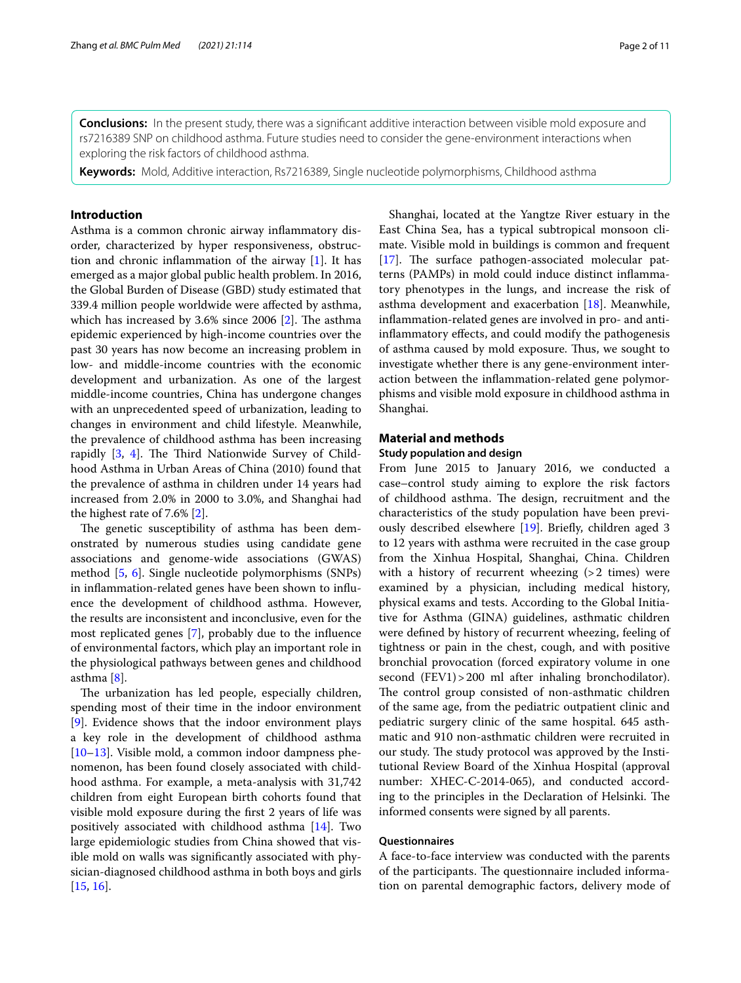**Conclusions:** In the present study, there was a signifcant additive interaction between visible mold exposure and rs7216389 SNP on childhood asthma. Future studies need to consider the gene-environment interactions when exploring the risk factors of childhood asthma.

**Keywords:** Mold, Additive interaction, Rs7216389, Single nucleotide polymorphisms, Childhood asthma

## **Introduction**

Asthma is a common chronic airway infammatory disorder, characterized by hyper responsiveness, obstruction and chronic infammation of the airway [[1](#page-8-0)]. It has emerged as a major global public health problem. In 2016, the Global Burden of Disease (GBD) study estimated that 339.4 million people worldwide were afected by asthma, which has increased by  $3.6\%$  since 2006 [[2\]](#page-8-1). The asthma epidemic experienced by high-income countries over the past 30 years has now become an increasing problem in low- and middle-income countries with the economic development and urbanization. As one of the largest middle-income countries, China has undergone changes with an unprecedented speed of urbanization, leading to changes in environment and child lifestyle. Meanwhile, the prevalence of childhood asthma has been increasing rapidly  $[3, 4]$  $[3, 4]$  $[3, 4]$  $[3, 4]$ . The Third Nationwide Survey of Childhood Asthma in Urban Areas of China (2010) found that the prevalence of asthma in children under 14 years had increased from 2.0% in 2000 to 3.0%, and Shanghai had the highest rate of 7.6% [[2\]](#page-8-1).

The genetic susceptibility of asthma has been demonstrated by numerous studies using candidate gene associations and genome-wide associations (GWAS) method [\[5](#page-8-4), [6\]](#page-8-5). Single nucleotide polymorphisms (SNPs) in infammation-related genes have been shown to infuence the development of childhood asthma. However, the results are inconsistent and inconclusive, even for the most replicated genes [[7\]](#page-8-6), probably due to the infuence of environmental factors, which play an important role in the physiological pathways between genes and childhood asthma [[8\]](#page-8-7).

The urbanization has led people, especially children, spending most of their time in the indoor environment [[9\]](#page-8-8). Evidence shows that the indoor environment plays a key role in the development of childhood asthma [[10–](#page-8-9)[13](#page-8-10)]. Visible mold, a common indoor dampness phenomenon, has been found closely associated with childhood asthma. For example, a meta-analysis with 31,742 children from eight European birth cohorts found that visible mold exposure during the frst 2 years of life was positively associated with childhood asthma [[14\]](#page-9-0). Two large epidemiologic studies from China showed that visible mold on walls was signifcantly associated with physician-diagnosed childhood asthma in both boys and girls [[15,](#page-9-1) [16](#page-9-2)].

Shanghai, located at the Yangtze River estuary in the East China Sea, has a typical subtropical monsoon climate. Visible mold in buildings is common and frequent [[17\]](#page-9-3). The surface pathogen-associated molecular patterns (PAMPs) in mold could induce distinct infammatory phenotypes in the lungs, and increase the risk of asthma development and exacerbation [\[18](#page-9-4)]. Meanwhile, infammation-related genes are involved in pro- and antiinfammatory efects, and could modify the pathogenesis of asthma caused by mold exposure. Thus, we sought to investigate whether there is any gene-environment interaction between the infammation-related gene polymorphisms and visible mold exposure in childhood asthma in Shanghai.

## **Material and methods**

#### **Study population and design**

From June 2015 to January 2016, we conducted a case–control study aiming to explore the risk factors of childhood asthma. The design, recruitment and the characteristics of the study population have been previously described elsewhere [\[19](#page-9-5)]. Briefy, children aged 3 to 12 years with asthma were recruited in the case group from the Xinhua Hospital, Shanghai, China. Children with a history of recurrent wheezing  $(>2$  times) were examined by a physician, including medical history, physical exams and tests. According to the Global Initiative for Asthma (GINA) guidelines, asthmatic children were defned by history of recurrent wheezing, feeling of tightness or pain in the chest, cough, and with positive bronchial provocation (forced expiratory volume in one second (FEV1) > 200 ml after inhaling bronchodilator). The control group consisted of non-asthmatic children of the same age, from the pediatric outpatient clinic and pediatric surgery clinic of the same hospital. 645 asthmatic and 910 non-asthmatic children were recruited in our study. The study protocol was approved by the Institutional Review Board of the Xinhua Hospital (approval number: XHEC-C-2014-065), and conducted according to the principles in the Declaration of Helsinki. The informed consents were signed by all parents.

#### **Questionnaires**

A face-to-face interview was conducted with the parents of the participants. The questionnaire included information on parental demographic factors, delivery mode of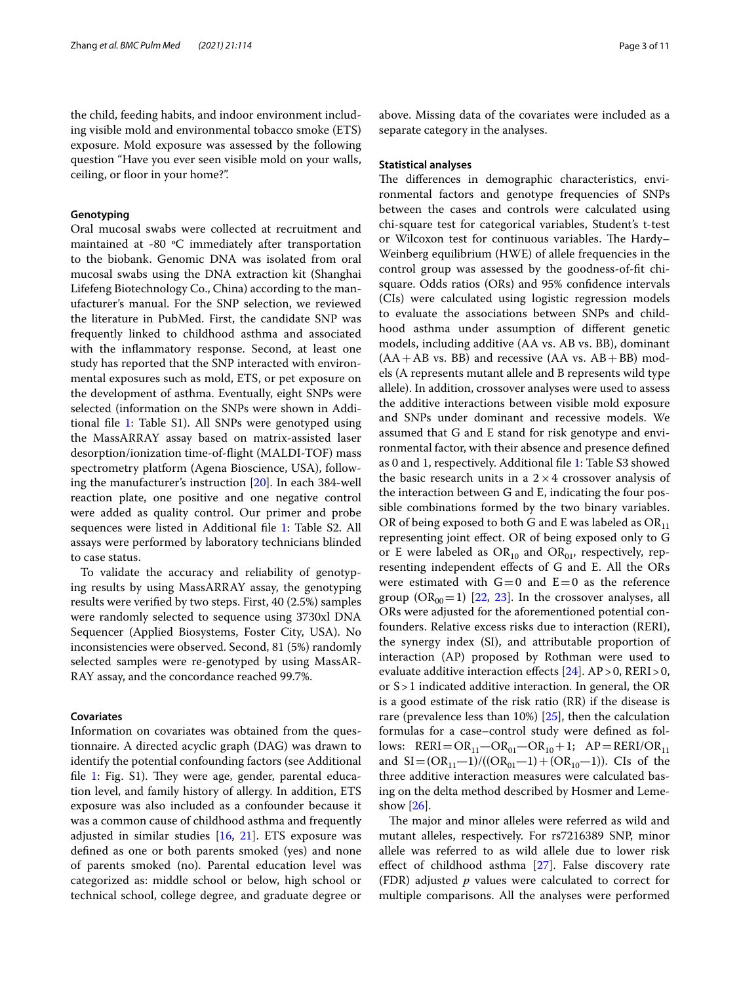the child, feeding habits, and indoor environment including visible mold and environmental tobacco smoke (ETS) exposure. Mold exposure was assessed by the following question "Have you ever seen visible mold on your walls, ceiling, or floor in your home?".

### **Genotyping**

Oral mucosal swabs were collected at recruitment and maintained at -80 ºC immediately after transportation to the biobank. Genomic DNA was isolated from oral mucosal swabs using the DNA extraction kit (Shanghai Lifefeng Biotechnology Co., China) according to the manufacturer's manual. For the SNP selection, we reviewed the literature in PubMed. First, the candidate SNP was frequently linked to childhood asthma and associated with the infammatory response. Second, at least one study has reported that the SNP interacted with environmental exposures such as mold, ETS, or pet exposure on the development of asthma. Eventually, eight SNPs were selected (information on the SNPs were shown in Additional fle [1](#page-8-11): Table S1). All SNPs were genotyped using the MassARRAY assay based on matrix-assisted laser desorption/ionization time-of-fight (MALDI-TOF) mass spectrometry platform (Agena Bioscience, USA), following the manufacturer's instruction [\[20\]](#page-9-6). In each 384-well reaction plate, one positive and one negative control were added as quality control. Our primer and probe sequences were listed in Additional fle [1:](#page-8-11) Table S2. All assays were performed by laboratory technicians blinded to case status.

To validate the accuracy and reliability of genotyping results by using MassARRAY assay, the genotyping results were verifed by two steps. First, 40 (2.5%) samples were randomly selected to sequence using 3730xl DNA Sequencer (Applied Biosystems, Foster City, USA). No inconsistencies were observed. Second, 81 (5%) randomly selected samples were re-genotyped by using MassAR-RAY assay, and the concordance reached 99.7%.

## **Covariates**

Information on covariates was obtained from the questionnaire. A directed acyclic graph (DAG) was drawn to identify the potential confounding factors (see Additional file [1](#page-8-11): Fig. S1). They were age, gender, parental education level, and family history of allergy. In addition, ETS exposure was also included as a confounder because it was a common cause of childhood asthma and frequently adjusted in similar studies [\[16](#page-9-2), [21\]](#page-9-7). ETS exposure was defned as one or both parents smoked (yes) and none of parents smoked (no). Parental education level was categorized as: middle school or below, high school or technical school, college degree, and graduate degree or above. Missing data of the covariates were included as a separate category in the analyses.

#### **Statistical analyses**

The differences in demographic characteristics, environmental factors and genotype frequencies of SNPs between the cases and controls were calculated using chi-square test for categorical variables, Student's t-test or Wilcoxon test for continuous variables. The Hardy-Weinberg equilibrium (HWE) of allele frequencies in the control group was assessed by the goodness-of-ft chisquare. Odds ratios (ORs) and 95% confdence intervals (CIs) were calculated using logistic regression models to evaluate the associations between SNPs and childhood asthma under assumption of diferent genetic models, including additive (AA vs. AB vs. BB), dominant  $(AA+AB \text{ vs. } BB)$  and recessive  $(AA \text{ vs. } AB + BB) \text{ mod-}$ els (A represents mutant allele and B represents wild type allele). In addition, crossover analyses were used to assess the additive interactions between visible mold exposure and SNPs under dominant and recessive models. We assumed that G and E stand for risk genotype and environmental factor, with their absence and presence defned as 0 and 1, respectively. Additional fle [1:](#page-8-11) Table S3 showed the basic research units in a  $2 \times 4$  crossover analysis of the interaction between G and E, indicating the four possible combinations formed by the two binary variables. OR of being exposed to both G and E was labeled as  $OR_{11}$ representing joint efect. OR of being exposed only to G or E were labeled as  $OR_{10}$  and  $OR_{01}$ , respectively, representing independent efects of G and E. All the ORs were estimated with  $G=0$  and  $E=0$  as the reference group  $(OR_{00}=1)$  [[22,](#page-9-8) [23\]](#page-9-9). In the crossover analyses, all ORs were adjusted for the aforementioned potential confounders. Relative excess risks due to interaction (RERI), the synergy index (SI), and attributable proportion of interaction (AP) proposed by Rothman were used to evaluate additive interaction effects  $[24]$  $[24]$ . AP > 0, RERI > 0, or S>1 indicated additive interaction. In general, the OR is a good estimate of the risk ratio (RR) if the disease is rare (prevalence less than 10%) [[25](#page-9-11)], then the calculation formulas for a case–control study were defned as follows:  $RERI = OR_{11} - OR_{01} - OR_{10} + 1; AP = RERI/OR_{11}$ and  $SI = (OR_{11}-1)/((OR_{01}-1)+(OR_{10}-1))$ . CIs of the three additive interaction measures were calculated basing on the delta method described by Hosmer and Lemeshow [\[26](#page-9-12)].

The major and minor alleles were referred as wild and mutant alleles, respectively. For rs7216389 SNP, minor allele was referred to as wild allele due to lower risk effect of childhood asthma [[27\]](#page-9-13). False discovery rate (FDR) adjusted *p* values were calculated to correct for multiple comparisons. All the analyses were performed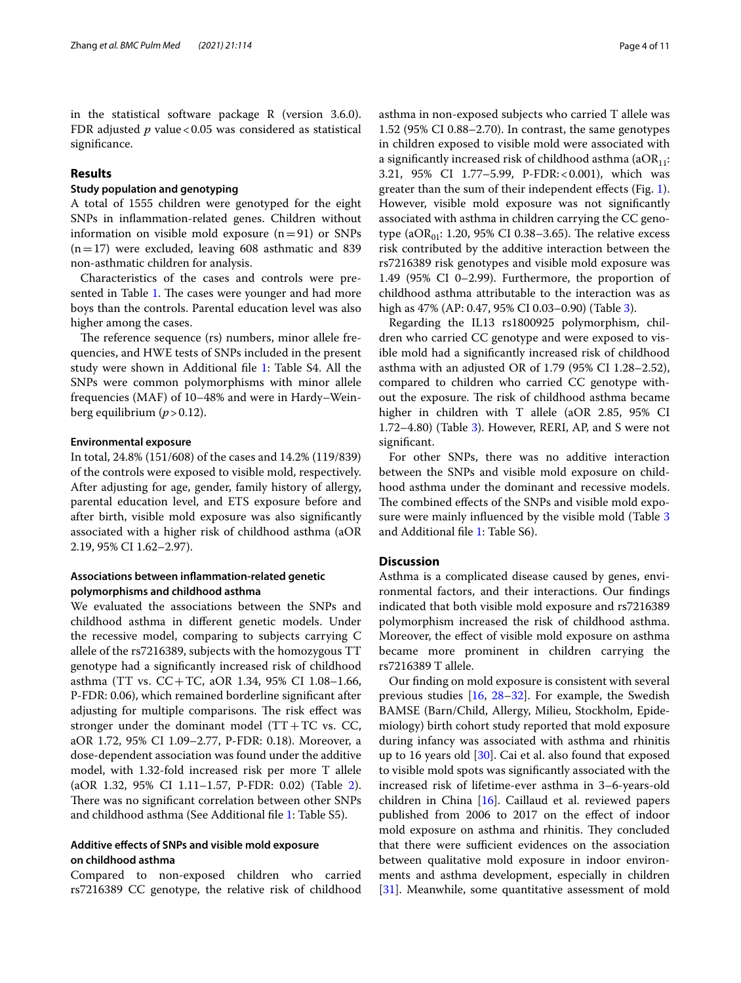in the statistical software package R (version 3.6.0). FDR adjusted *p* value < 0.05 was considered as statistical significance.

## **Results**

## **Study population and genotyping**

A total of 1555 children were genotyped for the eight SNPs in infammation-related genes. Children without information on visible mold exposure  $(n=91)$  or SNPs  $(n=17)$  were excluded, leaving 608 asthmatic and 839 non-asthmatic children for analysis.

Characteristics of the cases and controls were pre-sented in Table [1](#page-4-0). The cases were younger and had more boys than the controls. Parental education level was also higher among the cases.

The reference sequence (rs) numbers, minor allele frequencies, and HWE tests of SNPs included in the present study were shown in Additional fle [1:](#page-8-11) Table S4. All the SNPs were common polymorphisms with minor allele frequencies (MAF) of 10–48% and were in Hardy–Weinberg equilibrium  $(p > 0.12)$ .

#### **Environmental exposure**

In total, 24.8% (151/608) of the cases and 14.2% (119/839) of the controls were exposed to visible mold, respectively. After adjusting for age, gender, family history of allergy, parental education level, and ETS exposure before and after birth, visible mold exposure was also signifcantly associated with a higher risk of childhood asthma (aOR 2.19, 95% CI 1.62–2.97).

## **Associations between infammation‑related genetic polymorphisms and childhood asthma**

We evaluated the associations between the SNPs and childhood asthma in diferent genetic models. Under the recessive model, comparing to subjects carrying C allele of the rs7216389, subjects with the homozygous TT genotype had a signifcantly increased risk of childhood asthma (TT vs. CC+TC, aOR 1.34, 95% CI 1.08–1.66, P-FDR: 0.06), which remained borderline signifcant after adjusting for multiple comparisons. The risk effect was stronger under the dominant model  $(TT+TC \text{ vs. } CC,$ aOR 1.72, 95% CI 1.09–2.77, P-FDR: 0.18). Moreover, a dose-dependent association was found under the additive model, with 1.32-fold increased risk per more T allele (aOR 1.32, 95% CI 1.11–1.57, P-FDR: 0.02) (Table [2](#page-5-0)). There was no significant correlation between other SNPs and childhood asthma (See Additional fle [1](#page-8-11): Table S5).

## **Additive efects of SNPs and visible mold exposure on childhood asthma**

Compared to non-exposed children who carried rs7216389 CC genotype, the relative risk of childhood asthma in non-exposed subjects who carried T allele was 1.52 (95% CI 0.88–2.70). In contrast, the same genotypes in children exposed to visible mold were associated with a significantly increased risk of childhood asthma ( $aOR_{11}$ : 3.21, 95% CI 1.77–5.99, P-FDR:<0.001), which was greater than the sum of their independent efects (Fig. [1](#page-5-1)). However, visible mold exposure was not signifcantly associated with asthma in children carrying the CC genotype (a $OR_{01}$ : 1.20, 95% CI 0.38–3.65). The relative excess risk contributed by the additive interaction between the rs7216389 risk genotypes and visible mold exposure was 1.49 (95% CI 0–2.99). Furthermore, the proportion of childhood asthma attributable to the interaction was as high as 47% (AP: 0.47, 95% CI 0.03–0.90) (Table [3\)](#page-6-0).

Regarding the IL13 rs1800925 polymorphism, children who carried CC genotype and were exposed to visible mold had a signifcantly increased risk of childhood asthma with an adjusted OR of 1.79 (95% CI 1.28–2.52), compared to children who carried CC genotype without the exposure. The risk of childhood asthma became higher in children with T allele (aOR 2.85, 95% CI 1.72–4.80) (Table [3](#page-6-0)). However, RERI, AP, and S were not signifcant.

For other SNPs, there was no additive interaction between the SNPs and visible mold exposure on childhood asthma under the dominant and recessive models. The combined effects of the SNPs and visible mold exposure were mainly infuenced by the visible mold (Table [3](#page-6-0) and Additional fle [1:](#page-8-11) Table S6).

## **Discussion**

Asthma is a complicated disease caused by genes, environmental factors, and their interactions. Our fndings indicated that both visible mold exposure and rs7216389 polymorphism increased the risk of childhood asthma. Moreover, the efect of visible mold exposure on asthma became more prominent in children carrying the rs7216389 T allele.

Our fnding on mold exposure is consistent with several previous studies [\[16](#page-9-2), [28](#page-9-14)[–32\]](#page-9-15). For example, the Swedish BAMSE (Barn/Child, Allergy, Milieu, Stockholm, Epidemiology) birth cohort study reported that mold exposure during infancy was associated with asthma and rhinitis up to 16 years old  $[30]$  $[30]$ . Cai et al. also found that exposed to visible mold spots was signifcantly associated with the increased risk of lifetime-ever asthma in 3–6-years-old children in China [\[16\]](#page-9-2). Caillaud et al. reviewed papers published from 2006 to 2017 on the efect of indoor mold exposure on asthma and rhinitis. They concluded that there were sufficient evidences on the association between qualitative mold exposure in indoor environments and asthma development, especially in children [[31\]](#page-9-17). Meanwhile, some quantitative assessment of mold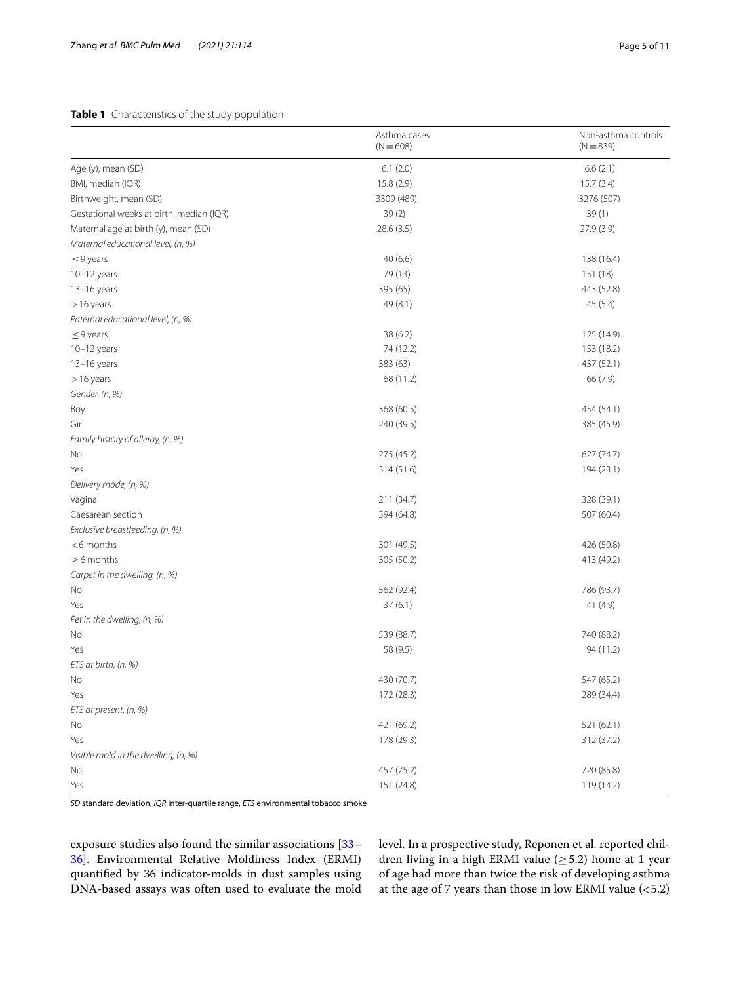## <span id="page-4-0"></span>**Table 1** Characteristics of the study population

|                                          | Asthma cases<br>$(N = 608)$ | Non-asthma controls<br>$(N = 839)$ |
|------------------------------------------|-----------------------------|------------------------------------|
| Age (y), mean (SD)                       | 6.1(2.0)                    | 6.6(2.1)                           |
| BMI, median (IQR)                        | 15.8 (2.9)                  | 15.7(3.4)                          |
| Birthweight, mean (SD)                   | 3309 (489)                  | 3276 (507)                         |
| Gestational weeks at birth, median (IQR) | 39(2)                       | 39(1)                              |
| Maternal age at birth (y), mean (SD)     | 28.6 (3.5)                  | 27.9 (3.9)                         |
| Maternal educational level, (n, %)       |                             |                                    |
| $\leq$ 9 years                           | 40(6.6)                     | 138 (16.4)                         |
| 10-12 years                              | 79 (13)                     | 151 (18)                           |
| $13-16$ years                            | 395 (65)                    | 443 (52.8)                         |
| >16 years                                | 49 (8.1)                    | 45(5.4)                            |
| Paternal educational level, (n, %)       |                             |                                    |
| $\leq$ 9 years                           | 38 (6.2)                    | 125 (14.9)                         |
| $10-12$ years                            | 74 (12.2)                   | 153 (18.2)                         |
| 13-16 years                              | 383 (63)                    | 437 (52.1)                         |
| >16 years                                | 68 (11.2)                   | 66 (7.9)                           |
| Gender, (n, %)                           |                             |                                    |
| Boy                                      | 368 (60.5)                  | 454 (54.1)                         |
| Girl                                     | 240 (39.5)                  | 385 (45.9)                         |
| Family history of allergy, (n, %)        |                             |                                    |
| No                                       | 275 (45.2)                  | 627 (74.7)                         |
| Yes                                      | 314 (51.6)                  | 194 (23.1)                         |
| Delivery mode, (n, %)                    |                             |                                    |
| Vaginal                                  | 211 (34.7)                  | 328 (39.1)                         |
| Caesarean section                        | 394 (64.8)                  | 507 (60.4)                         |
| Exclusive breastfeeding, (n, %)          |                             |                                    |
| $<$ 6 months                             | 301 (49.5)                  | 426 (50.8)                         |
| $\geq$ 6 months                          | 305 (50.2)                  | 413 (49.2)                         |
| Carpet in the dwelling, (n, %)           |                             |                                    |
| No                                       | 562 (92.4)                  | 786 (93.7)                         |
| Yes                                      | 37(6.1)                     | 41 (4.9)                           |
| Pet in the dwelling, (n, %)              |                             |                                    |
| No                                       | 539 (88.7)                  | 740 (88.2)                         |
| Yes                                      | 58 (9.5)                    | 94 (11.2)                          |
| ETS at birth, (n, %)                     |                             |                                    |
| No.                                      | 430 (70.7)                  | 547 (65.2)                         |
| Yes                                      | 172 (28.3)                  | 289 (34.4)                         |
| ETS at present, (n, %)                   |                             |                                    |
| No                                       | 421 (69.2)                  | 521 (62.1)                         |
| Yes                                      | 178 (29.3)                  | 312 (37.2)                         |
| Visible mold in the dwelling, (n, %)     |                             |                                    |
| No                                       | 457 (75.2)                  | 720 (85.8)                         |
| Yes                                      | 151 (24.8)                  | 119 (14.2)                         |

*SD* standard deviation, *IQR* inter-quartile range, *ETS* environmental tobacco smoke

exposure studies also found the similar associations [[33–](#page-9-18) [36\]](#page-9-19). Environmental Relative Moldiness Index (ERMI) quantifed by 36 indicator-molds in dust samples using DNA-based assays was often used to evaluate the mold level. In a prospective study, Reponen et al. reported children living in a high ERMI value ( $\geq$  5.2) home at 1 year of age had more than twice the risk of developing asthma at the age of 7 years than those in low ERMI value  $(<5.2)$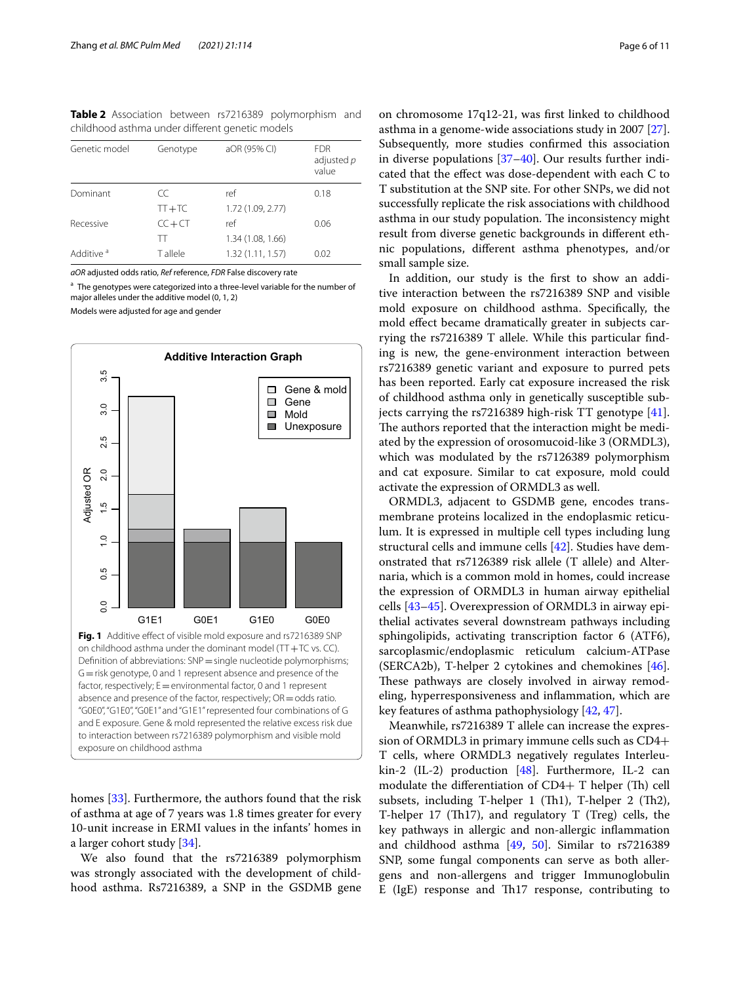<span id="page-5-0"></span>**Table 2** Association between rs7216389 polymorphism and childhood asthma under diferent genetic models

| Genetic model         | Genotype  | aOR (95% CI)      | <b>FDR</b><br>adjusted p<br>value |
|-----------------------|-----------|-------------------|-----------------------------------|
| Dominant              | CC        | ref               | 0.18                              |
|                       | $TT+TC$   | 1.72 (1.09, 2.77) |                                   |
| Recessive             | $CC + CT$ | ref               | 0.06                              |
|                       | TТ        | 1.34 (1.08, 1.66) |                                   |
| Additive <sup>a</sup> | T allele  | 1.32 (1.11, 1.57) | 0.02                              |
|                       |           |                   |                                   |

*aOR* adjusted odds ratio, *Ref* reference, *FDR* False discovery rate

<sup>a</sup> The genotypes were categorized into a three-level variable for the number of major alleles under the additive model (0, 1, 2)

Models were adjusted for age and gender



<span id="page-5-1"></span>homes [[33](#page-9-18)]. Furthermore, the authors found that the risk of asthma at age of 7 years was 1.8 times greater for every 10-unit increase in ERMI values in the infants' homes in a larger cohort study [\[34](#page-9-20)].

We also found that the rs7216389 polymorphism was strongly associated with the development of childhood asthma. Rs7216389, a SNP in the GSDMB gene

on chromosome 17q12-21, was frst linked to childhood asthma in a genome-wide associations study in 2007 [\[27](#page-9-13)]. Subsequently, more studies confrmed this association in diverse populations [[37](#page-9-21)[–40](#page-9-22)]. Our results further indicated that the efect was dose-dependent with each C to T substitution at the SNP site. For other SNPs, we did not successfully replicate the risk associations with childhood asthma in our study population. The inconsistency might result from diverse genetic backgrounds in diferent ethnic populations, diferent asthma phenotypes, and/or small sample size.

In addition, our study is the frst to show an additive interaction between the rs7216389 SNP and visible mold exposure on childhood asthma. Specifcally, the mold efect became dramatically greater in subjects carrying the rs7216389 T allele. While this particular fnding is new, the gene-environment interaction between rs7216389 genetic variant and exposure to purred pets has been reported. Early cat exposure increased the risk of childhood asthma only in genetically susceptible subjects carrying the rs7216389 high-risk TT genotype [\[41](#page-9-23)]. The authors reported that the interaction might be mediated by the expression of orosomucoid-like 3 (ORMDL3), which was modulated by the rs7126389 polymorphism and cat exposure. Similar to cat exposure, mold could activate the expression of ORMDL3 as well.

ORMDL3, adjacent to GSDMB gene, encodes transmembrane proteins localized in the endoplasmic reticulum. It is expressed in multiple cell types including lung structural cells and immune cells [[42](#page-9-24)]. Studies have demonstrated that rs7126389 risk allele (T allele) and Alternaria, which is a common mold in homes, could increase the expression of ORMDL3 in human airway epithelial cells [\[43](#page-9-25)–[45\]](#page-9-26). Overexpression of ORMDL3 in airway epithelial activates several downstream pathways including sphingolipids, activating transcription factor 6 (ATF6), sarcoplasmic/endoplasmic reticulum calcium-ATPase (SERCA2b), T-helper 2 cytokines and chemokines [\[46](#page-9-27)]. These pathways are closely involved in airway remodeling, hyperresponsiveness and infammation, which are key features of asthma pathophysiology [[42,](#page-9-24) [47\]](#page-9-28).

Meanwhile, rs7216389 T allele can increase the expression of ORMDL3 in primary immune cells such as CD4+ T cells, where ORMDL3 negatively regulates Interleukin-2 (IL-2) production [[48\]](#page-9-29). Furthermore, IL-2 can modulate the differentiation of  $CD4+T$  helper (Th) cell subsets, including T-helper 1 (Th1), T-helper 2 (Th2), T-helper 17 (Th17), and regulatory  $T$  (Treg) cells, the key pathways in allergic and non-allergic infammation and childhood asthma [\[49](#page-9-30), [50\]](#page-9-31). Similar to rs7216389 SNP, some fungal components can serve as both allergens and non-allergens and trigger Immunoglobulin E (IgE) response and Th17 response, contributing to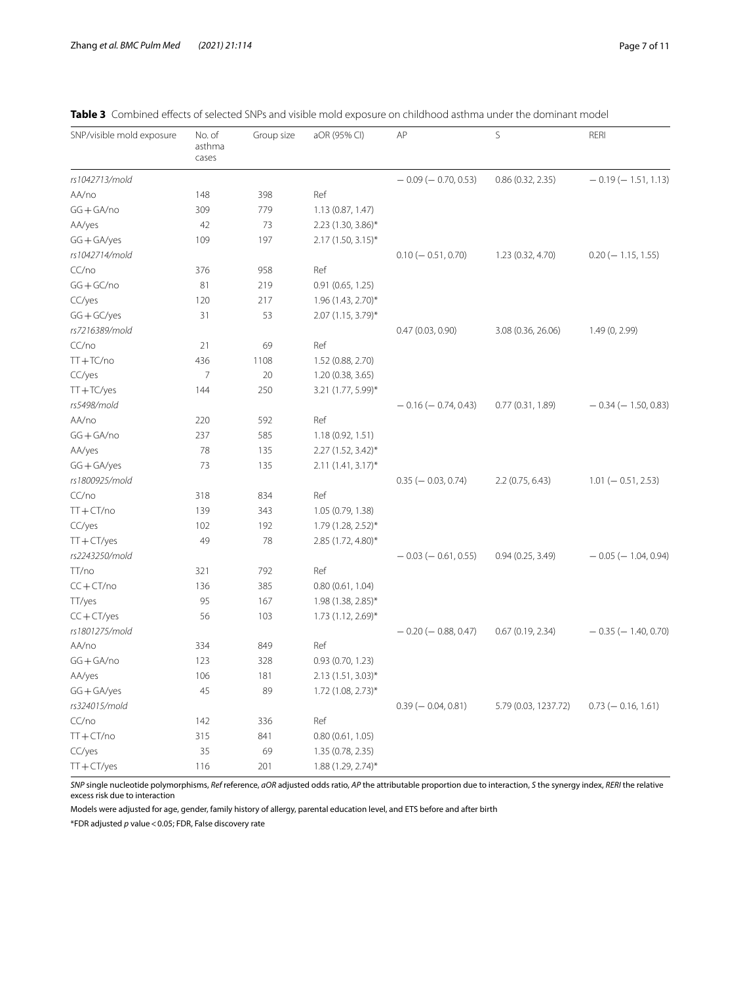| SNP/visible mold exposure | No. of<br>asthma<br>cases | Group size | aOR (95% CI)         | AP                        | S                    | RERI                      |
|---------------------------|---------------------------|------------|----------------------|---------------------------|----------------------|---------------------------|
| rs1042713/mold            |                           |            |                      | $-0.09$ ( $-0.70$ , 0.53) | 0.86(0.32, 2.35)     | $-0.19(-1.51, 1.13)$      |
| AA/no                     | 148                       | 398        | Ref                  |                           |                      |                           |
| $GG + GA/no$              | 309                       | 779        | 1.13 (0.87, 1.47)    |                           |                      |                           |
| AA/yes                    | 42                        | 73         | 2.23 (1.30, 3.86)*   |                           |                      |                           |
| $GG + GA/year$            | 109                       | 197        | $2.17(1.50, 3.15)^*$ |                           |                      |                           |
| rs1042714/mold            |                           |            |                      | $0.10 (-0.51, 0.70)$      | 1.23 (0.32, 4.70)    | $0.20$ (-1.15, 1.55)      |
| CC/no                     | 376                       | 958        | Ref                  |                           |                      |                           |
| $GG + GC/no$              | 81                        | 219        | 0.91(0.65, 1.25)     |                           |                      |                           |
| CC/yes                    | 120                       | 217        | 1.96 (1.43, 2.70)*   |                           |                      |                           |
| $GG + GC/year$            | 31                        | 53         | 2.07 (1.15, 3.79)*   |                           |                      |                           |
| rs7216389/mold            |                           |            |                      | 0.47(0.03, 0.90)          | 3.08 (0.36, 26.06)   | 1.49 (0, 2.99)            |
| CC/no                     | 21                        | 69         | Ref                  |                           |                      |                           |
| $TT+TC/no$                | 436                       | 1108       | 1.52 (0.88, 2.70)    |                           |                      |                           |
| CC/yes                    | 7                         | 20         | 1.20 (0.38, 3.65)    |                           |                      |                           |
| $TT + TC/year$            | 144                       | 250        | 3.21 (1.77, 5.99)*   |                           |                      |                           |
| rs5498/mold               |                           |            |                      | $-0.16(-0.74, 0.43)$      | 0.77(0.31, 1.89)     | $-0.34$ ( $-1.50$ , 0.83) |
| AA/no                     | 220                       | 592        | Ref                  |                           |                      |                           |
| $GG + GA/no$              | 237                       | 585        | 1.18 (0.92, 1.51)    |                           |                      |                           |
| AA/yes                    | 78                        | 135        | 2.27 (1.52, 3.42)*   |                           |                      |                           |
| $GG + GA/year$            | 73                        | 135        | $2.11(1.41, 3.17)^*$ |                           |                      |                           |
| rs1800925/mold            |                           |            |                      | $0.35 (-0.03, 0.74)$      | 2.2(0.75, 6.43)      | $1.01 (-0.51, 2.53)$      |
| CC/no                     | 318                       | 834        | Ref                  |                           |                      |                           |
| $TT + CT/no$              | 139                       | 343        | 1.05 (0.79, 1.38)    |                           |                      |                           |
| CC/yes                    | 102                       | 192        | 1.79 (1.28, 2.52)*   |                           |                      |                           |
| $TT + CT/year$            | 49                        | 78         | 2.85 (1.72, 4.80)*   |                           |                      |                           |
| rs2243250/mold            |                           |            |                      | $-0.03$ ( $-0.61$ , 0.55) | 0.94(0.25, 3.49)     | $-0.05$ ( $-1.04$ , 0.94) |
| TT/no                     | 321                       | 792        | Ref                  |                           |                      |                           |
| $CC + CT/no$              | 136                       | 385        | 0.80(0.61, 1.04)     |                           |                      |                           |
| TT/yes                    | 95                        | 167        | 1.98 (1.38, 2.85)*   |                           |                      |                           |
| $CC + CT/year$            | 56                        | 103        | 1.73 (1.12, 2.69)*   |                           |                      |                           |
| rs1801275/mold            |                           |            |                      | $-0.20$ ( $-0.88, 0.47$ ) | 0.67(0.19, 2.34)     | $-0.35$ ( $-1.40, 0.70$ ) |
| AA/no                     | 334                       | 849        | Ref                  |                           |                      |                           |
| $GG + GA/no$              | 123                       | 328        | 0.93(0.70, 1.23)     |                           |                      |                           |
| AA/yes                    | 106                       | 181        | $2.13(1.51, 3.03)*$  |                           |                      |                           |
| GG+GA/yes                 | 45                        | 89         | 1.72 (1.08, 2.73)*   |                           |                      |                           |
| rs324015/mold             |                           |            |                      | $0.39 (- 0.04, 0.81)$     | 5.79 (0.03, 1237.72) | $0.73$ (- 0.16, 1.61)     |
| CC/no                     | 142                       | 336        | Ref                  |                           |                      |                           |
| $TT + CT/no$              | 315                       | 841        | 0.80(0.61, 1.05)     |                           |                      |                           |
| CC/yes                    | 35                        | 69         | 1.35 (0.78, 2.35)    |                           |                      |                           |
| $TT + CT/year$            | 116                       | 201        | 1.88 (1.29, 2.74)*   |                           |                      |                           |

<span id="page-6-0"></span>

| <b>Table 3</b> Combined effects of selected SNPs and visible mold exposure on childhood asthma under the dominant model |  |
|-------------------------------------------------------------------------------------------------------------------------|--|
|-------------------------------------------------------------------------------------------------------------------------|--|

*SNP* single nucleotide polymorphisms, *Ref* reference, *aOR* adjusted odds ratio, *AP* the attributable proportion due to interaction, *S* the synergy index, *RERI* the relative excess risk due to interaction

Models were adjusted for age, gender, family history of allergy, parental education level, and ETS before and after birth

\*FDR adjusted *p* value<0.05; FDR, False discovery rate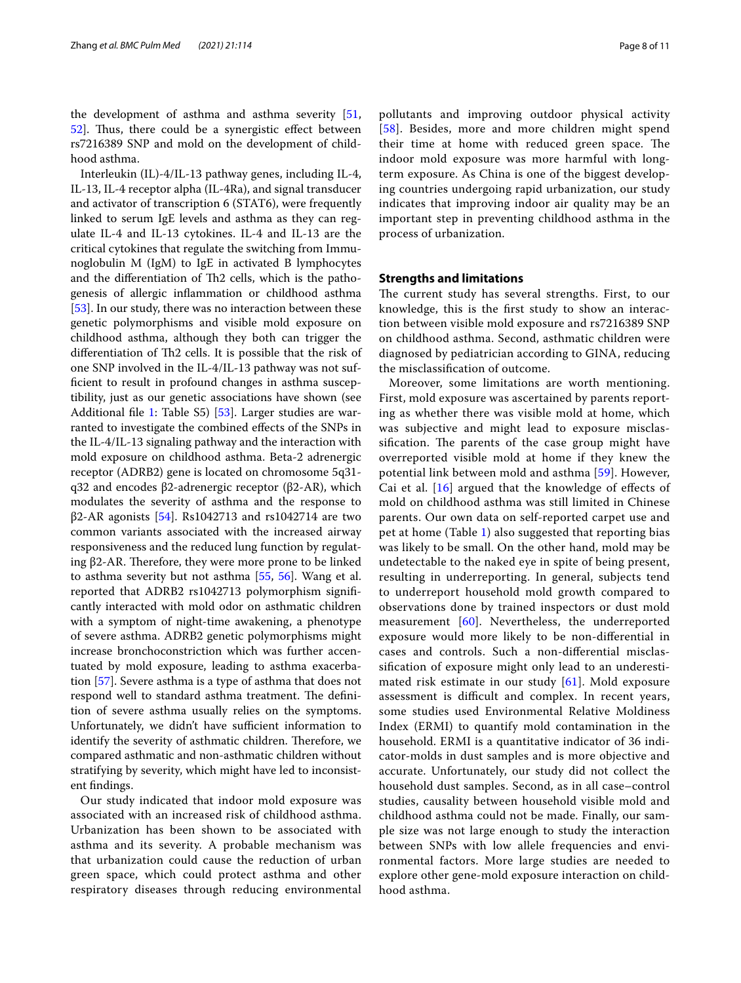the development of asthma and asthma severity [\[51](#page-9-32), [52\]](#page-9-33). Thus, there could be a synergistic effect between rs7216389 SNP and mold on the development of childhood asthma.

Interleukin (IL)-4/IL-13 pathway genes, including IL-4, IL-13, IL-4 receptor alpha (IL-4Ra), and signal transducer and activator of transcription 6 (STAT6), were frequently linked to serum IgE levels and asthma as they can regulate IL-4 and IL-13 cytokines. IL-4 and IL-13 are the critical cytokines that regulate the switching from Immunoglobulin M (IgM) to IgE in activated B lymphocytes and the differentiation of Th2 cells, which is the pathogenesis of allergic infammation or childhood asthma [[53\]](#page-9-34). In our study, there was no interaction between these genetic polymorphisms and visible mold exposure on childhood asthma, although they both can trigger the differentiation of Th2 cells. It is possible that the risk of one SNP involved in the IL-4/IL-13 pathway was not suffcient to result in profound changes in asthma susceptibility, just as our genetic associations have shown (see Additional file [1](#page-8-11): Table S5) [\[53](#page-9-34)]. Larger studies are warranted to investigate the combined efects of the SNPs in the IL-4/IL-13 signaling pathway and the interaction with mold exposure on childhood asthma. Beta-2 adrenergic receptor (ADRB2) gene is located on chromosome 5q31 q32 and encodes β2-adrenergic receptor (β2-AR), which modulates the severity of asthma and the response to  $β2-AR$  agonists [\[54](#page-9-35)]. Rs1042713 and rs1042714 are two common variants associated with the increased airway responsiveness and the reduced lung function by regulating  $β2-AR$ . Therefore, they were more prone to be linked to asthma severity but not asthma [\[55,](#page-9-36) [56\]](#page-9-37). Wang et al. reported that ADRB2 rs1042713 polymorphism signifcantly interacted with mold odor on asthmatic children with a symptom of night-time awakening, a phenotype of severe asthma. ADRB2 genetic polymorphisms might increase bronchoconstriction which was further accentuated by mold exposure, leading to asthma exacerbation [[57\]](#page-10-0). Severe asthma is a type of asthma that does not respond well to standard asthma treatment. The definition of severe asthma usually relies on the symptoms. Unfortunately, we didn't have sufficient information to identify the severity of asthmatic children. Therefore, we compared asthmatic and non-asthmatic children without stratifying by severity, which might have led to inconsistent fndings.

Our study indicated that indoor mold exposure was associated with an increased risk of childhood asthma. Urbanization has been shown to be associated with asthma and its severity. A probable mechanism was that urbanization could cause the reduction of urban green space, which could protect asthma and other respiratory diseases through reducing environmental pollutants and improving outdoor physical activity [[58](#page-10-1)]. Besides, more and more children might spend their time at home with reduced green space. The indoor mold exposure was more harmful with longterm exposure. As China is one of the biggest developing countries undergoing rapid urbanization, our study indicates that improving indoor air quality may be an important step in preventing childhood asthma in the process of urbanization.

## **Strengths and limitations**

The current study has several strengths. First, to our knowledge, this is the frst study to show an interaction between visible mold exposure and rs7216389 SNP on childhood asthma. Second, asthmatic children were diagnosed by pediatrician according to GINA, reducing the misclassifcation of outcome.

Moreover, some limitations are worth mentioning. First, mold exposure was ascertained by parents reporting as whether there was visible mold at home, which was subjective and might lead to exposure misclassification. The parents of the case group might have overreported visible mold at home if they knew the potential link between mold and asthma [[59\]](#page-10-2). However, Cai et al. [[16](#page-9-2)] argued that the knowledge of effects of mold on childhood asthma was still limited in Chinese parents. Our own data on self-reported carpet use and pet at home (Table [1\)](#page-4-0) also suggested that reporting bias was likely to be small. On the other hand, mold may be undetectable to the naked eye in spite of being present, resulting in underreporting. In general, subjects tend to underreport household mold growth compared to observations done by trained inspectors or dust mold measurement [[60\]](#page-10-3). Nevertheless, the underreported exposure would more likely to be non-diferential in cases and controls. Such a non-diferential misclassifcation of exposure might only lead to an underestimated risk estimate in our study [[61\]](#page-10-4). Mold exposure assessment is difficult and complex. In recent years, some studies used Environmental Relative Moldiness Index (ERMI) to quantify mold contamination in the household. ERMI is a quantitative indicator of 36 indicator-molds in dust samples and is more objective and accurate. Unfortunately, our study did not collect the household dust samples. Second, as in all case–control studies, causality between household visible mold and childhood asthma could not be made. Finally, our sample size was not large enough to study the interaction between SNPs with low allele frequencies and environmental factors. More large studies are needed to explore other gene-mold exposure interaction on childhood asthma.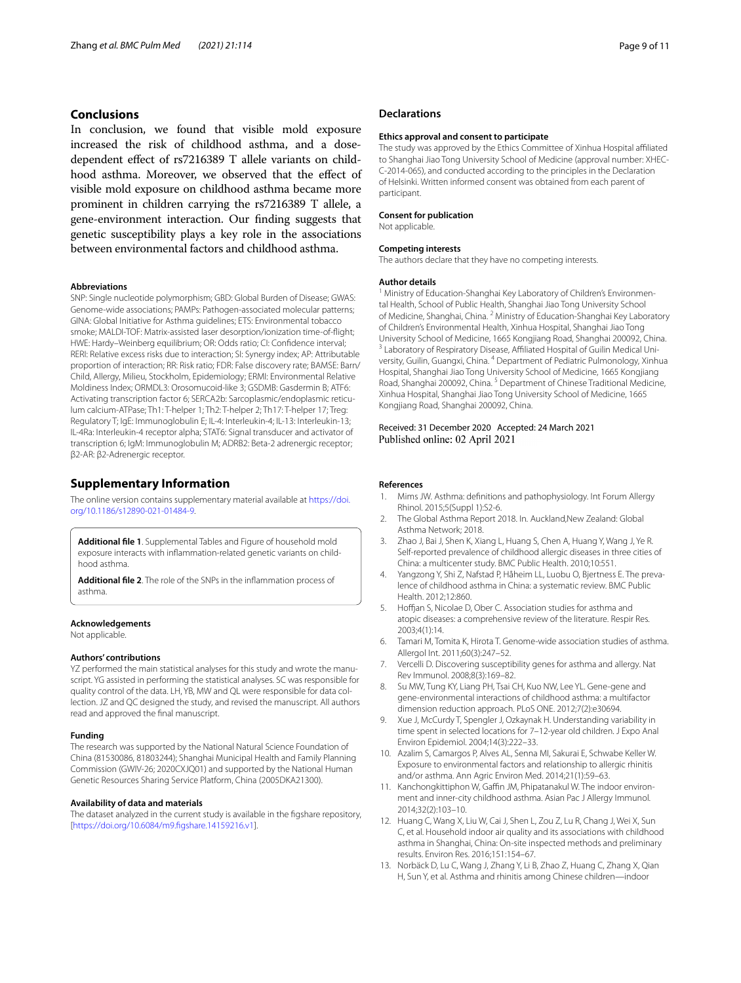## **Conclusions**

In conclusion, we found that visible mold exposure increased the risk of childhood asthma, and a dosedependent efect of rs7216389 T allele variants on childhood asthma. Moreover, we observed that the effect of visible mold exposure on childhood asthma became more prominent in children carrying the rs7216389 T allele, a gene-environment interaction. Our fnding suggests that genetic susceptibility plays a key role in the associations between environmental factors and childhood asthma.

#### **Abbreviations**

SNP: Single nucleotide polymorphism; GBD: Global Burden of Disease; GWAS: Genome-wide associations; PAMPs: Pathogen-associated molecular patterns; GINA: Global Initiative for Asthma guidelines; ETS: Environmental tobacco smoke; MALDI-TOF: Matrix-assisted laser desorption/ionization time-of-fight; HWE: Hardy–Weinberg equilibrium; OR: Odds ratio; CI: Confdence interval; RERI: Relative excess risks due to interaction; SI: Synergy index; AP: Attributable proportion of interaction; RR: Risk ratio; FDR: False discovery rate; BAMSE: Barn/ Child, Allergy, Milieu, Stockholm, Epidemiology; ERMI: Environmental Relative Moldiness Index; ORMDL3: Orosomucoid-like 3; GSDMB: Gasdermin B; ATF6: Activating transcription factor 6; SERCA2b: Sarcoplasmic/endoplasmic reticulum calcium-ATPase; Th1: T-helper 1; Th2: T-helper 2; Th17: T-helper 17; Treg: Regulatory T; IgE: Immunoglobulin E; IL-4: Interleukin-4; IL-13: Interleukin-13; IL-4Ra: Interleukin-4 receptor alpha; STAT6: Signal transducer and activator of transcription 6; IgM: Immunoglobulin M; ADRB2: Beta-2 adrenergic receptor; β2-AR: β2-Adrenergic receptor.

#### **Supplementary Information**

The online version contains supplementary material available at [https://doi.](https://doi.org/10.1186/s12890-021-01484-9) [org/10.1186/s12890-021-01484-9](https://doi.org/10.1186/s12890-021-01484-9).

<span id="page-8-11"></span>**Additional fle 1**. Supplemental Tables and Figure of household mold exposure interacts with inflammation-related genetic variants on childhood asthma.

**Additional fle 2**. The role of the SNPs in the infammation process of asthma.

#### **Acknowledgements**

Not applicable.

#### **Authors' contributions**

YZ performed the main statistical analyses for this study and wrote the manuscript. YG assisted in performing the statistical analyses. SC was responsible for quality control of the data. LH, YB, MW and QL were responsible for data collection. JZ and QC designed the study, and revised the manuscript. All authors read and approved the fnal manuscript.

#### **Funding**

The research was supported by the National Natural Science Foundation of China (81530086, 81803244); Shanghai Municipal Health and Family Planning Commission (GWIV-26; 2020CXJQ01) and supported by the National Human Genetic Resources Sharing Service Platform, China (2005DKA21300).

#### **Availability of data and materials**

The dataset analyzed in the current study is available in the fgshare repository, [[https://doi.org/10.6084/m9.fgshare.14159216.v1](https://doi.org/10.6084/m9.figshare.14159216.v1)].

### **Declarations**

#### **Ethics approval and consent to participate**

The study was approved by the Ethics Committee of Xinhua Hospital afliated to Shanghai Jiao Tong University School of Medicine (approval number: XHEC-C-2014-065), and conducted according to the principles in the Declaration of Helsinki. Written informed consent was obtained from each parent of participant.

#### **Consent for publication**

Not applicable.

#### **Competing interests**

The authors declare that they have no competing interests.

#### **Author details**

<sup>1</sup> Ministry of Education-Shanghai Key Laboratory of Children's Environmental Health, School of Public Health, Shanghai Jiao Tong University School of Medicine, Shanghai, China. <sup>2</sup> Ministry of Education-Shanghai Key Laboratory of Children's Environmental Health, Xinhua Hospital, Shanghai Jiao Tong University School of Medicine, 1665 Kongjiang Road, Shanghai 200092, China.<br><sup>3</sup> Laboratory of Respiratory Disease, Affiliated Hospital of Guilin Medical University, Guilin, Guangxi, China. <sup>4</sup> Department of Pediatric Pulmonology, Xinhua Hospital, Shanghai Jiao Tong University School of Medicine, 1665 Kongjiang Road, Shanghai 200092, China. 5 Department of Chinese Traditional Medicine, Xinhua Hospital, Shanghai Jiao Tong University School of Medicine, 1665 Kongjiang Road, Shanghai 200092, China.

#### Received: 31 December 2020 Accepted: 24 March 2021 Published online: 02 April 2021

#### **References**

- <span id="page-8-0"></span>1. Mims JW. Asthma: defnitions and pathophysiology. Int Forum Allergy Rhinol. 2015;5(Suppl 1):S2-6.
- <span id="page-8-1"></span>2. The Global Asthma Report 2018. In*.* Auckland,New Zealand: Global Asthma Network; 2018.
- <span id="page-8-2"></span>3. Zhao J, Bai J, Shen K, Xiang L, Huang S, Chen A, Huang Y, Wang J, Ye R. Self-reported prevalence of childhood allergic diseases in three cities of China: a multicenter study. BMC Public Health. 2010;10:551.
- <span id="page-8-3"></span>4. Yangzong Y, Shi Z, Nafstad P, Håheim LL, Luobu O, Bjertness E. The prevalence of childhood asthma in China: a systematic review. BMC Public Health. 2012;12:860.
- <span id="page-8-4"></span>5. Hoffjan S, Nicolae D, Ober C. Association studies for asthma and atopic diseases: a comprehensive review of the literature. Respir Res. 2003;4(1):14.
- <span id="page-8-5"></span>6. Tamari M, Tomita K, Hirota T. Genome-wide association studies of asthma. Allergol Int. 2011;60(3):247–52.
- <span id="page-8-6"></span>7. Vercelli D. Discovering susceptibility genes for asthma and allergy. Nat Rev Immunol. 2008;8(3):169–82.
- <span id="page-8-7"></span>8. Su MW, Tung KY, Liang PH, Tsai CH, Kuo NW, Lee YL. Gene-gene and gene-environmental interactions of childhood asthma: a multifactor dimension reduction approach. PLoS ONE. 2012;7(2):e30694.
- <span id="page-8-8"></span>Xue J, McCurdy T, Spengler J, Ozkaynak H. Understanding variability in time spent in selected locations for 7–12-year old children. J Expo Anal Environ Epidemiol. 2004;14(3):222–33.
- <span id="page-8-9"></span>10. Azalim S, Camargos P, Alves AL, Senna MI, Sakurai E, Schwabe Keller W. Exposure to environmental factors and relationship to allergic rhinitis and/or asthma. Ann Agric Environ Med. 2014;21(1):59–63.
- 11. Kanchongkittiphon W, Gaffin JM, Phipatanakul W. The indoor environment and inner-city childhood asthma. Asian Pac J Allergy Immunol. 2014;32(2):103–10.
- 12. Huang C, Wang X, Liu W, Cai J, Shen L, Zou Z, Lu R, Chang J, Wei X, Sun C, et al. Household indoor air quality and its associations with childhood asthma in Shanghai, China: On-site inspected methods and preliminary results. Environ Res. 2016;151:154–67.
- <span id="page-8-10"></span>13. Norbäck D, Lu C, Wang J, Zhang Y, Li B, Zhao Z, Huang C, Zhang X, Qian H, Sun Y, et al. Asthma and rhinitis among Chinese children—indoor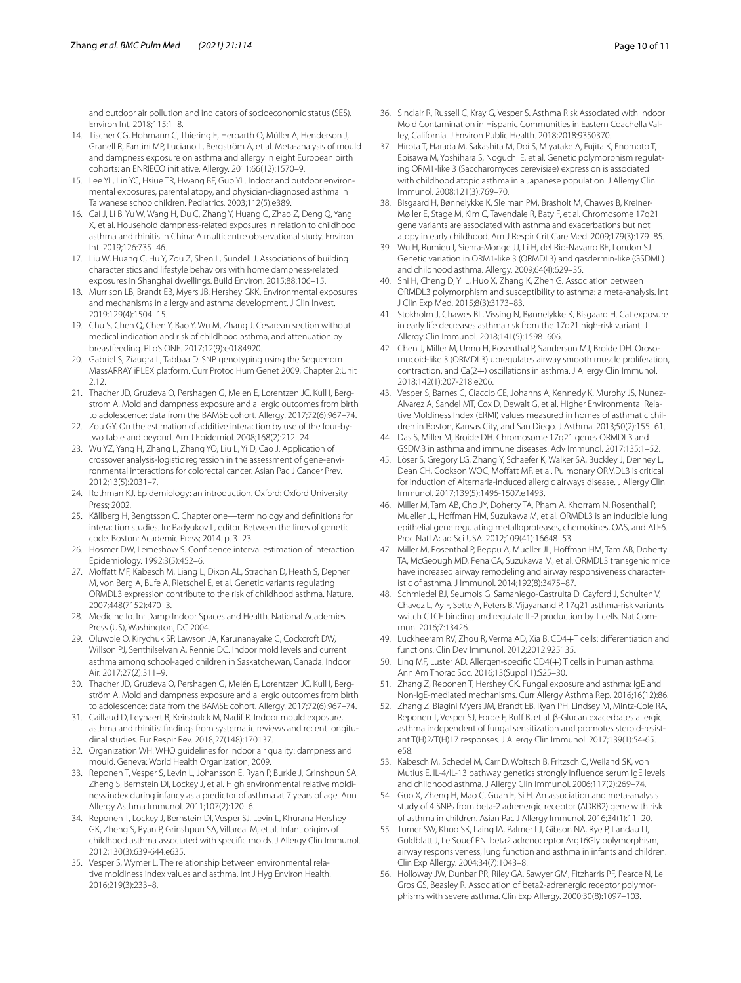and outdoor air pollution and indicators of socioeconomic status (SES). Environ Int. 2018;115:1–8.

- <span id="page-9-0"></span>14. Tischer CG, Hohmann C, Thiering E, Herbarth O, Müller A, Henderson J, Granell R, Fantini MP, Luciano L, Bergström A, et al. Meta-analysis of mould and dampness exposure on asthma and allergy in eight European birth cohorts: an ENRIECO initiative. Allergy. 2011;66(12):1570–9.
- <span id="page-9-1"></span>15. Lee YL, Lin YC, Hsiue TR, Hwang BF, Guo YL. Indoor and outdoor environmental exposures, parental atopy, and physician-diagnosed asthma in Taiwanese schoolchildren. Pediatrics. 2003;112(5):e389.
- <span id="page-9-2"></span>16. Cai J, Li B, Yu W, Wang H, Du C, Zhang Y, Huang C, Zhao Z, Deng Q, Yang X, et al. Household dampness-related exposures in relation to childhood asthma and rhinitis in China: A multicentre observational study. Environ Int. 2019;126:735–46.
- <span id="page-9-3"></span>17. Liu W, Huang C, Hu Y, Zou Z, Shen L, Sundell J. Associations of building characteristics and lifestyle behaviors with home dampness-related exposures in Shanghai dwellings. Build Environ. 2015;88:106–15.
- <span id="page-9-4"></span>18. Murrison LB, Brandt EB, Myers JB, Hershey GKK. Environmental exposures and mechanisms in allergy and asthma development. J Clin Invest. 2019;129(4):1504–15.
- <span id="page-9-5"></span>19. Chu S, Chen Q, Chen Y, Bao Y, Wu M, Zhang J. Cesarean section without medical indication and risk of childhood asthma, and attenuation by breastfeeding. PLoS ONE. 2017;12(9):e0184920.
- <span id="page-9-6"></span>20. Gabriel S, Ziaugra L, Tabbaa D. SNP genotyping using the Sequenom MassARRAY iPLEX platform. Curr Protoc Hum Genet 2009, Chapter 2:Unit 2.12.
- <span id="page-9-7"></span>21. Thacher JD, Gruzieva O, Pershagen G, Melen E, Lorentzen JC, Kull I, Bergstrom A. Mold and dampness exposure and allergic outcomes from birth to adolescence: data from the BAMSE cohort. Allergy. 2017;72(6):967–74.
- <span id="page-9-8"></span>22. Zou GY. On the estimation of additive interaction by use of the four-bytwo table and beyond. Am J Epidemiol. 2008;168(2):212–24.
- <span id="page-9-9"></span>23. Wu YZ, Yang H, Zhang L, Zhang YQ, Liu L, Yi D, Cao J. Application of crossover analysis-logistic regression in the assessment of gene-environmental interactions for colorectal cancer. Asian Pac J Cancer Prev. 2012;13(5):2031–7.
- <span id="page-9-10"></span>24. Rothman KJ. Epidemiology: an introduction. Oxford: Oxford University Press; 2002.
- <span id="page-9-11"></span>25. Källberg H, Bengtsson C. Chapter one—terminology and defnitions for interaction studies. In: Padyukov L, editor. Between the lines of genetic code. Boston: Academic Press; 2014. p. 3–23.
- <span id="page-9-12"></span>26. Hosmer DW, Lemeshow S. Confdence interval estimation of interaction. Epidemiology. 1992;3(5):452–6.
- <span id="page-9-13"></span>27. Moffatt MF, Kabesch M, Liang L, Dixon AL, Strachan D, Heath S, Depner M, von Berg A, Bufe A, Rietschel E, et al. Genetic variants regulating ORMDL3 expression contribute to the risk of childhood asthma. Nature. 2007;448(7152):470–3.
- <span id="page-9-14"></span>28. Medicine Io. In: Damp Indoor Spaces and Health. National Academies Press (US), Washington, DC 2004
- 29. Oluwole O, Kirychuk SP, Lawson JA, Karunanayake C, Cockcroft DW, Willson PJ, Senthilselvan A, Rennie DC. Indoor mold levels and current asthma among school-aged children in Saskatchewan, Canada. Indoor Air. 2017;27(2):311–9.
- <span id="page-9-16"></span>30. Thacher JD, Gruzieva O, Pershagen G, Melén E, Lorentzen JC, Kull I, Bergström A. Mold and dampness exposure and allergic outcomes from birth to adolescence: data from the BAMSE cohort. Allergy. 2017;72(6):967–74.
- <span id="page-9-17"></span>31. Caillaud D, Leynaert B, Keirsbulck M, Nadif R. Indoor mould exposure, asthma and rhinitis: findings from systematic reviews and recent longitudinal studies. Eur Respir Rev. 2018;27(148):170137.
- <span id="page-9-15"></span>32. Organization WH. WHO guidelines for indoor air quality: dampness and mould. Geneva: World Health Organization; 2009.
- <span id="page-9-18"></span>33. Reponen T, Vesper S, Levin L, Johansson E, Ryan P, Burkle J, Grinshpun SA, Zheng S, Bernstein DI, Lockey J, et al. High environmental relative moldiness index during infancy as a predictor of asthma at 7 years of age. Ann Allergy Asthma Immunol. 2011;107(2):120–6.
- <span id="page-9-20"></span>34. Reponen T, Lockey J, Bernstein DI, Vesper SJ, Levin L, Khurana Hershey GK, Zheng S, Ryan P, Grinshpun SA, Villareal M, et al. Infant origins of childhood asthma associated with specifc molds. J Allergy Clin Immunol. 2012;130(3):639-644.e635.
- 35. Vesper S, Wymer L. The relationship between environmental relative moldiness index values and asthma. Int J Hyg Environ Health. 2016;219(3):233–8.
- <span id="page-9-19"></span>36. Sinclair R, Russell C, Kray G, Vesper S. Asthma Risk Associated with Indoor Mold Contamination in Hispanic Communities in Eastern Coachella Valley, California. J Environ Public Health. 2018;2018:9350370.
- <span id="page-9-21"></span>37. Hirota T, Harada M, Sakashita M, Doi S, Miyatake A, Fujita K, Enomoto T, Ebisawa M, Yoshihara S, Noguchi E, et al. Genetic polymorphism regulating ORM1-like 3 (Saccharomyces cerevisiae) expression is associated with childhood atopic asthma in a Japanese population. J Allergy Clin Immunol. 2008;121(3):769–70.
- 38. Bisgaard H, Bønnelykke K, Sleiman PM, Brasholt M, Chawes B, Kreiner-Møller E, Stage M, Kim C, Tavendale R, Baty F, et al. Chromosome 17q21 gene variants are associated with asthma and exacerbations but not atopy in early childhood. Am J Respir Crit Care Med. 2009;179(3):179–85.
- 39. Wu H, Romieu I, Sienra-Monge JJ, Li H, del Rio-Navarro BE, London SJ. Genetic variation in ORM1-like 3 (ORMDL3) and gasdermin-like (GSDML) and childhood asthma. Allergy. 2009;64(4):629–35.
- <span id="page-9-22"></span>40. Shi H, Cheng D, Yi L, Huo X, Zhang K, Zhen G. Association between ORMDL3 polymorphism and susceptibility to asthma: a meta-analysis. Int J Clin Exp Med. 2015;8(3):3173–83.
- <span id="page-9-23"></span>41. Stokholm J, Chawes BL, Vissing N, Bønnelykke K, Bisgaard H. Cat exposure in early life decreases asthma risk from the 17q21 high-risk variant. J Allergy Clin Immunol. 2018;141(5):1598–606.
- <span id="page-9-24"></span>42. Chen J, Miller M, Unno H, Rosenthal P, Sanderson MJ, Broide DH. Orosomucoid-like 3 (ORMDL3) upregulates airway smooth muscle proliferation, contraction, and Ca(2+) oscillations in asthma. J Allergy Clin Immunol. 2018;142(1):207-218.e206.
- <span id="page-9-25"></span>43. Vesper S, Barnes C, Ciaccio CE, Johanns A, Kennedy K, Murphy JS, Nunez-Alvarez A, Sandel MT, Cox D, Dewalt G, et al. Higher Environmental Relative Moldiness Index (ERMI) values measured in homes of asthmatic children in Boston, Kansas City, and San Diego. J Asthma. 2013;50(2):155–61.
- 44. Das S, Miller M, Broide DH. Chromosome 17q21 genes ORMDL3 and GSDMB in asthma and immune diseases. Adv Immunol. 2017;135:1–52.
- <span id="page-9-26"></span>45. Löser S, Gregory LG, Zhang Y, Schaefer K, Walker SA, Buckley J, Denney L, Dean CH, Cookson WOC, Moffatt MF, et al. Pulmonary ORMDL3 is critical for induction of Alternaria-induced allergic airways disease. J Allergy Clin Immunol. 2017;139(5):1496-1507.e1493.
- <span id="page-9-27"></span>46. Miller M, Tam AB, Cho JY, Doherty TA, Pham A, Khorram N, Rosenthal P, Mueller JL, Hofman HM, Suzukawa M, et al. ORMDL3 is an inducible lung epithelial gene regulating metalloproteases, chemokines, OAS, and ATF6. Proc Natl Acad Sci USA. 2012;109(41):16648–53.
- <span id="page-9-28"></span>47. Miller M, Rosenthal P, Beppu A, Mueller JL, Hoffman HM, Tam AB, Doherty TA, McGeough MD, Pena CA, Suzukawa M, et al. ORMDL3 transgenic mice have increased airway remodeling and airway responsiveness characteristic of asthma. J Immunol. 2014;192(8):3475–87.
- <span id="page-9-29"></span>48. Schmiedel BJ, Seumois G, Samaniego-Castruita D, Cayford J, Schulten V, Chavez L, Ay F, Sette A, Peters B, Vijayanand P. 17q21 asthma-risk variants switch CTCF binding and regulate IL-2 production by T cells. Nat Commun. 2016;7:13426.
- <span id="page-9-30"></span>49. Luckheeram RV, Zhou R, Verma AD, Xia B. CD4+T cells: differentiation and functions. Clin Dev Immunol. 2012;2012:925135.
- <span id="page-9-31"></span>50. Ling MF, Luster AD. Allergen-specifc CD4(+) T cells in human asthma. Ann Am Thorac Soc. 2016;13(Suppl 1):S25–30.
- <span id="page-9-32"></span>51. Zhang Z, Reponen T, Hershey GK. Fungal exposure and asthma: IgE and Non-IgE-mediated mechanisms. Curr Allergy Asthma Rep. 2016;16(12):86.
- <span id="page-9-33"></span>52. Zhang Z, Biagini Myers JM, Brandt EB, Ryan PH, Lindsey M, Mintz-Cole RA, Reponen T, Vesper SJ, Forde F, Ruf B, et al. β-Glucan exacerbates allergic asthma independent of fungal sensitization and promotes steroid-resistant T(H)2/T(H)17 responses. J Allergy Clin Immunol. 2017;139(1):54-65. e58.
- <span id="page-9-34"></span>53. Kabesch M, Schedel M, Carr D, Woitsch B, Fritzsch C, Weiland SK, von Mutius E. IL-4/IL-13 pathway genetics strongly infuence serum IgE levels and childhood asthma. J Allergy Clin Immunol. 2006;117(2):269–74.
- <span id="page-9-35"></span>54. Guo X, Zheng H, Mao C, Guan E, Si H. An association and meta-analysis study of 4 SNPs from beta-2 adrenergic receptor (ADRB2) gene with risk of asthma in children. Asian Pac J Allergy Immunol. 2016;34(1):11–20.
- <span id="page-9-36"></span>55. Turner SW, Khoo SK, Laing IA, Palmer LJ, Gibson NA, Rye P, Landau LI, Goldblatt J, Le Souef PN. beta2 adrenoceptor Arg16Gly polymorphism, airway responsiveness, lung function and asthma in infants and children. Clin Exp Allergy. 2004;34(7):1043–8.
- <span id="page-9-37"></span>56. Holloway JW, Dunbar PR, Riley GA, Sawyer GM, Fitzharris PF, Pearce N, Le Gros GS, Beasley R. Association of beta2-adrenergic receptor polymorphisms with severe asthma. Clin Exp Allergy. 2000;30(8):1097–103.